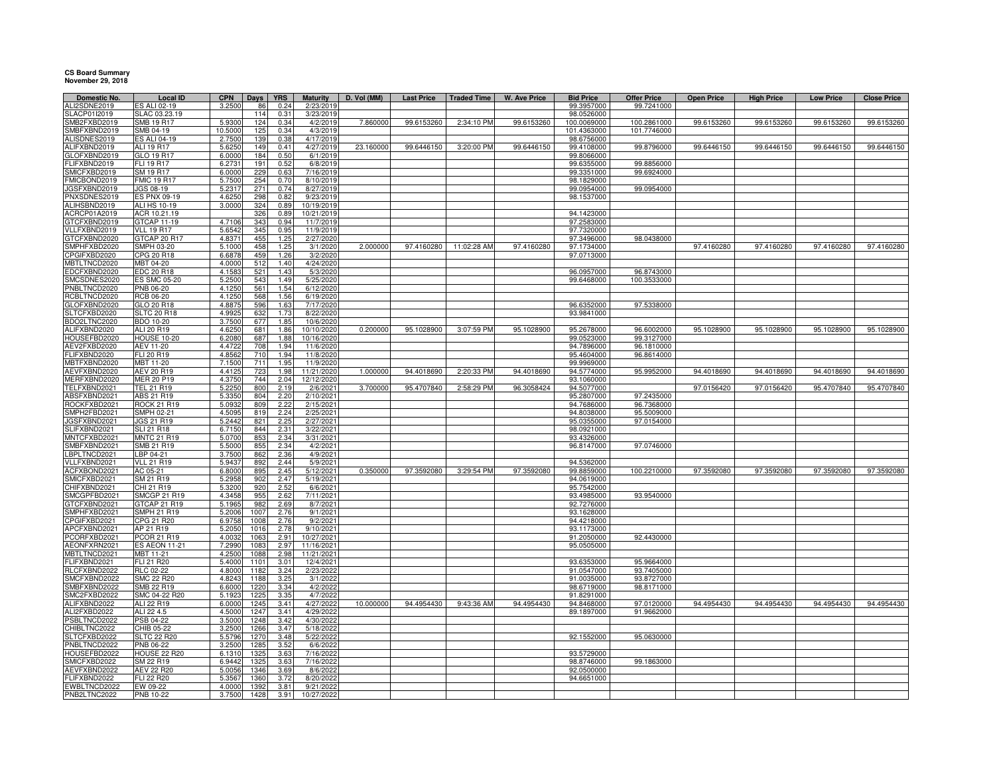## **CS Board Summary November 29, 2018**

| Domestic No.                 | <b>Local ID</b>                     | <b>CPN</b>        | <b>Days</b>  | <b>YRS</b>   | <b>Maturity</b>         | D. Vol (MM) | <b>Last Price</b> | Traded Time | W. Ave Price | <b>Bid Price</b>          | <b>Offer Price</b>       | <b>Open Price</b> | <b>High Price</b> | <b>Low Price</b> | <b>Close Price</b> |
|------------------------------|-------------------------------------|-------------------|--------------|--------------|-------------------------|-------------|-------------------|-------------|--------------|---------------------------|--------------------------|-------------------|-------------------|------------------|--------------------|
| ALI2SDNE2019                 | ES ALI 02-19                        | 3.2500            | 86           | 0.24         | 2/23/2019               |             |                   |             |              | 99.3957000                | 99.7241000               |                   |                   |                  |                    |
| SLACP01I2019                 | SLAC 03.23.19                       |                   | 114          | 0.31         | 3/23/2019               |             |                   |             |              | 98.0526000                |                          |                   |                   |                  |                    |
| SMB2FXBD2019                 | SMB 19 R17                          | 5.930             | 124          | 0.34         | 4/2/2019                | 7.860000    | 99.6153260        | 2:34:10 PM  | 99.6153260   | 100.0069000               | 100.2861000              | 99.6153260        | 99.6153260        | 99.6153260       | 99.6153260         |
| SMBFXBND2019<br>ALISDNES2019 | SMB 04-19<br><b>ES ALI 04-19</b>    | 10.5000<br>2.7500 | 125<br>139   | 0.34<br>0.38 | 4/3/2019<br>4/17/2019   |             |                   |             |              | 101.4363000<br>98.6756000 | 101.7746000              |                   |                   |                  |                    |
| ALIFXBND2019                 | <b>ALI 19 R17</b>                   | 5.6250            | 149          | 0.41         | 4/27/2019               | 23.160000   | 99.6446150        | 3:20:00 PM  | 99.6446150   | 99.4108000                | 99.8796000               | 99.6446150        | 99.6446150        | 99.6446150       | 99.6446150         |
| LOFXBND2019                  | GLO 19 R17                          | 6.000             | 184          | 0.50         | 6/1/2019                |             |                   |             |              | 99.8066000                |                          |                   |                   |                  |                    |
| FLIFXBND2019                 | FLI 19 R17                          | 6.2731            | 191          | 0.52         | 6/8/2019                |             |                   |             |              | 99.6355000                | 99.8856000               |                   |                   |                  |                    |
| MICFXBD2019                  | SM 19 R17                           | 6.0000            | 229          | 0.63         | 7/16/2019               |             |                   |             |              | 99.3351000                | 99.6924000               |                   |                   |                  |                    |
| FMICBOND2019                 | <b>FMIC 19 R17</b>                  | 5.7500            | 254          | 0.70         | 8/10/2019               |             |                   |             |              | 98.1829000                |                          |                   |                   |                  |                    |
| JGSFXBND2019                 | JGS 08-19                           | 5.2317            | 271          | 0.74         | 8/27/2019               |             |                   |             |              | 99.0954000                | 99.0954000               |                   |                   |                  |                    |
| PNXSDNES2019                 | ES PNX 09-19                        | 4.6250            | 298          | 0.82         | 9/23/2019               |             |                   |             |              | 98.1537000                |                          |                   |                   |                  |                    |
| ALIHSBND2019                 | ALI HS 10-19                        | 3.0000            | 324          | 0.89         | 10/19/2019              |             |                   |             |              |                           |                          |                   |                   |                  |                    |
| ACRCP01A2019                 | ACR 10.21.19                        |                   | 326          | 0.89         | 10/21/2019              |             |                   |             |              | 94.1423000                |                          |                   |                   |                  |                    |
| GTCFXBND2019                 | GTCAP 11-19                         | 4.7106            | 343          | 0.94         | 11/7/2019               |             |                   |             |              | 97.2583000                |                          |                   |                   |                  |                    |
| VLLFXBND2019                 | <b>VLL 19 R17</b>                   | 5.6542            | 345          | 0.95         | 11/9/2019               |             |                   |             |              | 97.7320000                |                          |                   |                   |                  |                    |
| GTCFXBND2020                 | GTCAP 20 R17                        | 4.8371            | 455          | 1.25         | 2/27/2020               |             |                   |             |              | 97.3496000                | 98.0438000               |                   |                   |                  |                    |
| SMPHFXBD2020                 | SMPH 03-20                          | 5.1000            | 458          | 1.25         | 3/1/2020                | 2.000000    | 97.4160280        | 11:02:28 AM | 97.4160280   | 97.1734000                |                          | 97.4160280        | 97.4160280        | 97.4160280       | 97.4160280         |
| CPGIFXBD2020<br>MBTLTNCD2020 | CPG 20 R18<br>MBT 04-20             | 6.6878<br>4.0000  | 459<br>512   | 1.26<br>1.40 | 3/2/2020<br>4/24/2020   |             |                   |             |              | 97.0713000                |                          |                   |                   |                  |                    |
| EDCFXBND2020                 | <b>EDC 20 R18</b>                   | 4.1583            | 521          | 1.43         | 5/3/2020                |             |                   |             |              | 96.0957000                | 96.8743000               |                   |                   |                  |                    |
| SMCSDNES2020                 | <b>ES SMC 05-20</b>                 | 5.2500            | 543          | 1.49         | 5/25/2020               |             |                   |             |              | 99.6468000                | 100.3533000              |                   |                   |                  |                    |
| PNBLTNCD2020                 | PNB 06-20                           | 4.1250            | 561          | 1.54         | 6/12/2020               |             |                   |             |              |                           |                          |                   |                   |                  |                    |
| RCBLTNCD2020                 | <b>RCB 06-20</b>                    | 4.1250            | 568          | 1.56         | 6/19/2020               |             |                   |             |              |                           |                          |                   |                   |                  |                    |
| GLOFXBND2020                 | GLO 20 R18                          | 4.8875            | 596          | 1.63         | 7/17/2020               |             |                   |             |              | 96.6352000                | 97.5338000               |                   |                   |                  |                    |
| SLTCFXBD2020                 | <b>SLTC 20 R18</b>                  | 4.9925            | 632          | 1.73         | 8/22/2020               |             |                   |             |              | 93.9841000                |                          |                   |                   |                  |                    |
| BDO2LTNC2020                 | BDO 10-20                           | 3.7500            | 677          | 1.85         | 10/6/2020               |             |                   |             |              |                           |                          |                   |                   |                  |                    |
| ALIFXBND2020                 | ALI 20 R19                          | 4.6250            | 681          | 1.86         | 10/10/2020              | 0.200000    | 95.1028900        | 3:07:59 PM  | 95.1028900   | 95.2678000                | 96.6002000               | 95.1028900        | 95.1028900        | 95.1028900       | 95.1028900         |
| HOUSEFBD2020                 | <b>HOUSE 10-20</b>                  | 6.2080            | 687          | 1.88         | 10/16/2020              |             |                   |             |              | 99.0523000                | 99.3127000               |                   |                   |                  |                    |
| AEV2FXBD2020                 | AEV 11-20                           | 4.4722            | 708          | 1.94         | 11/6/2020               |             |                   |             |              | 94.7896000                | 96.1810000               |                   |                   |                  |                    |
| FLIFXBND2020                 | FLI 20 R19                          | 4.8562            | 710          | 1.94         | 11/8/2020               |             |                   |             |              | 95.4604000                | 96.8614000               |                   |                   |                  |                    |
| MBTFXBND2020                 | <b>MBT 11-20</b>                    | 7.1500            | 711          | 1.95         | 11/9/2020               |             |                   |             |              | 99.9969000                |                          |                   |                   |                  |                    |
| AEVFXBND2020                 | <b>AEV 20 R19</b>                   | 4.4125            | 723          | 1.98         | 11/21/2020              | 1.000000    | 94.4018690        | 2:20:33 PM  | 94.4018690   | 94.5774000                | 95.9952000               | 94.4018690        | 94.4018690        | 94.4018690       | 94.4018690         |
| MERFXBND2020                 | <b>MER 20 P19</b>                   | 4.3750            | 744          | 2.04         | 12/12/2020              |             |                   |             |              | 93.1060000                |                          |                   |                   |                  |                    |
| TELFXBND2021                 | TEL 21 R19                          | 5.2250            | 800          | 2.19         | 2/6/2021                | 3.700000    | 95.4707840        | 2:58:29 PM  | 96.3058424   | 94.5077000                |                          | 97.0156420        | 97.0156420        | 95.4707840       | 95.4707840         |
| ABSFXBND2021<br>ROCKFXBD2021 | ABS 21 R19<br><b>ROCK 21 R19</b>    | 5.3350            | 804          | 2.20         | 2/10/2021               |             |                   |             |              | 95.2807000                | 97.2435000<br>96.7368000 |                   |                   |                  |                    |
| SMPH2FBD2021                 | SMPH 02-21                          | 5.0932<br>4.5095  | 809<br>819   | 2.22<br>2.24 | 2/15/2021<br>2/25/2021  |             |                   |             |              | 94.7686000<br>94.8038000  | 95.5009000               |                   |                   |                  |                    |
| JGSFXBND2021                 | JGS 21 R19                          | 5.2442            | 821          | 2.25         | 2/27/2021               |             |                   |             |              | 95.0355000                | 97.0154000               |                   |                   |                  |                    |
| SLIFXBND2021                 | <b>SLI 21 R18</b>                   | 6.7150            | 844          | 2.31         | 3/22/2021               |             |                   |             |              | 98.0921000                |                          |                   |                   |                  |                    |
| MNTCFXBD2021                 | <b>MNTC 21 R19</b>                  | 5.0700            | 853          | 2.34         | 3/31/2021               |             |                   |             |              | 93.4326000                |                          |                   |                   |                  |                    |
| SMBFXBND2021                 | SMB 21 R19                          | 5.5000            | 855          | 2.34         | 4/2/2021                |             |                   |             |              | 96.8147000                | 97.0746000               |                   |                   |                  |                    |
| LBPLTNCD2021                 | LBP 04-21                           | 3.7500            | 862          | 2.36         | 4/9/2021                |             |                   |             |              |                           |                          |                   |                   |                  |                    |
| VLLFXBND2021                 | <b>VLL 21 R19</b>                   | 5.9437            | 892          | 2.44         | 5/9/2021                |             |                   |             |              | 94.5362000                |                          |                   |                   |                  |                    |
| ACFXBOND2021                 | AC 05-21                            | 6.8000            | 895          | 2.45         | 5/12/2021               | 0.350000    | 97.3592080        | 3:29:54 PM  | 97.3592080   | 99.8859000                | 100.2210000              | 97.3592080        | 97.3592080        | 97.3592080       | 97.3592080         |
| SMICFXBD2021                 | SM 21 R19                           | 5.2958            | 902          | 2.47         | 5/19/2021               |             |                   |             |              | 94.0619000                |                          |                   |                   |                  |                    |
| CHIFXBND2021                 | CHI 21 R19                          | 5.3200            | 920          | 2.52         | 6/6/2021                |             |                   |             |              | 95.7542000                |                          |                   |                   |                  |                    |
| SMCGPFBD2021                 | <b>SMCGP 21 R19</b>                 | 4.3458            | 955          | 2.62         | 7/11/2021               |             |                   |             |              | 93.4985000                | 93.9540000               |                   |                   |                  |                    |
| TCFXBND2021                  | GTCAP 21 R19                        | 5.196             | 982          | 2.69         | 8/7/2021                |             |                   |             |              | 92.7276000                |                          |                   |                   |                  |                    |
| SMPHFXBD2021                 | SMPH 21 R19                         | 5.2006            | 1007         | 2.76         | 9/1/2021                |             |                   |             |              | 93.1628000                |                          |                   |                   |                  |                    |
| PGIFXBD2021                  | CPG 21 R20                          | 6.9758            | 1008         | 2.76         | 9/2/2021                |             |                   |             |              | 94.4218000                |                          |                   |                   |                  |                    |
| APCFXBND2021<br>PCORFXBD2021 | AP 21 R19                           | 5.205<br>4.0032   | 1016<br>1063 | 2.78<br>2.91 | 9/10/2021<br>10/27/2021 |             |                   |             |              | 93.1173000<br>91.2050000  | 92.4430000               |                   |                   |                  |                    |
| AEONFXRN2021                 | PCOR 21 R19<br><b>ES AEON 11-21</b> | 7.2990            | 108          | 2.97         | 11/16/2021              |             |                   |             |              | 95.0505000                |                          |                   |                   |                  |                    |
| MBTLTNCD2021                 | MBT 11-21                           | 4.2500            | 1088         | 2.98         | 11/21/2021              |             |                   |             |              |                           |                          |                   |                   |                  |                    |
| FLIFXBND2021                 | <b>FLI 21 R20</b>                   | 5.4000            | 1101         | 3.01         | 12/4/2021               |             |                   |             |              | 93.6353000                | 95.9664000               |                   |                   |                  |                    |
| RLCFXBND2022                 | <b>RLC 02-22</b>                    | 4.8000            | 1182         | 3.24         | 2/23/2022               |             |                   |             |              | 91.0547000                | 93.7405000               |                   |                   |                  |                    |
| SMCFXBND2022                 | <b>SMC 22 R20</b>                   | 4.8243            | 1188         | 3.25         | 3/1/2022                |             |                   |             |              | 91.0035000                | 93.8727000               |                   |                   |                  |                    |
| SMBFXBND2022                 | <b>SMB 22 R19</b>                   | 6.6000            | 1220         | 3.34         | 4/2/2022                |             |                   |             |              | 98.6719000                | 98.8171000               |                   |                   |                  |                    |
| SMC2FXBD2022                 | SMC 04-22 R20                       | 5.1923            | 1225         | 3.35         | 4/7/2022                |             |                   |             |              | 91.8291000                |                          |                   |                   |                  |                    |
| ALIFXBND2022                 | ALI 22 R19                          | 6.0000            | 1245         | 3.41         | 4/27/2022               | 10.000000   | 94.4954430        | 9:43:36 AM  | 94.4954430   | 94.8468000                | 97.0120000               | 94.4954430        | 94.4954430        | 94.4954430       | 94.4954430         |
| ALI2FXBD2022                 | ALI 22 4.5                          | 4.5000            | 1247         | 3.41         | 4/29/202                |             |                   |             |              | 89.1897000                | 91.9662000               |                   |                   |                  |                    |
| SBLTNCD2022                  | PSB 04-22                           | 3.5000            | 1248         | 3.42         | 4/30/2022               |             |                   |             |              |                           |                          |                   |                   |                  |                    |
| CHIBLTNC2022                 | CHIB 05-22                          | 3.2500            | 1266         | 3.47         | 5/18/2022               |             |                   |             |              |                           |                          |                   |                   |                  |                    |
| SLTCFXBD2022                 | <b>SLTC 22 R20</b>                  | 5.5796            | 1270         | 3.48         | 5/22/2022               |             |                   |             |              | 92.1552000                | 95.0630000               |                   |                   |                  |                    |
| PNBLTNCD2022                 | PNB 06-22                           | 3.2500            | 1285         | 3.52         | 6/6/202                 |             |                   |             |              |                           |                          |                   |                   |                  |                    |
| HOUSEFBD2022                 | <b>HOUSE 22 R20</b>                 | 6.1310            | 1325         | 3.63         | 7/16/2022               |             |                   |             |              | 93.5729000                |                          |                   |                   |                  |                    |
| SMICFXBD2022                 | SM 22 R19                           | 6.9442            | 1325         | 3.63         | 7/16/2022               |             |                   |             |              | 98.8746000                | 99.1863000               |                   |                   |                  |                    |
| AEVFXBND2022                 | <b>AEV 22 R20</b>                   | 5.0056            | 1346         | 3.69         | 8/6/2022                |             |                   |             |              | 92.0500000                |                          |                   |                   |                  |                    |
| FLIFXBND2022                 | FLI 22 R20                          | 5.3567            | 1360         | 3.72         | 8/20/2022               |             |                   |             |              | 94.6651000                |                          |                   |                   |                  |                    |
| EWBLTNCD2022                 | EW 09-22                            | 4.0000            | 1392         | 3.81<br>3.91 | 9/21/2022               |             |                   |             |              |                           |                          |                   |                   |                  |                    |
| PNB2LTNC2022                 | PNB 10-22                           | 3.7500            | 1428         |              | 10/27/2022              |             |                   |             |              |                           |                          |                   |                   |                  |                    |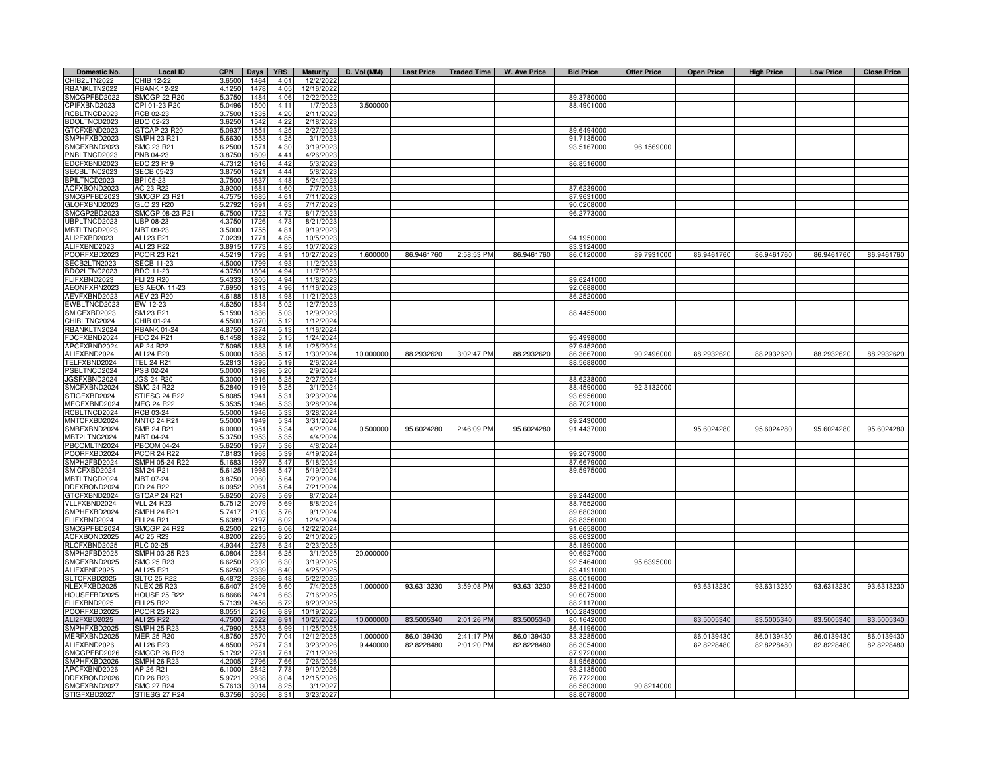| Domestic No.                        | Local ID                         | <b>CPN</b>       | <b>Days</b>  | <b>YRS</b>            | <b>Maturity</b>        | D. Vol (MM)          |                          |                          | Last Price   Traded Time   W. Ave Price | <b>Bid Price</b>         | <b>Offer Price</b> | <b>Open Price</b>        | <b>High Price</b>        | <b>Low Price</b>         | <b>Close Price</b>       |
|-------------------------------------|----------------------------------|------------------|--------------|-----------------------|------------------------|----------------------|--------------------------|--------------------------|-----------------------------------------|--------------------------|--------------------|--------------------------|--------------------------|--------------------------|--------------------------|
| CHIB2LTN2022                        | HIB 12-22                        | 3.6500           | 1464         | 4.01                  | 12/2/2022              |                      |                          |                          |                                         |                          |                    |                          |                          |                          |                          |
| RBANKLTN2022                        | <b>RBANK 12-22</b>               | 4.1250           | 1478         | 4.05                  | 12/16/2022             |                      |                          |                          |                                         |                          |                    |                          |                          |                          |                          |
| SMCGPFBD2022                        | <b>SMCGP 22 R20</b>              | 5.3750           | 1484         | 4.06                  | 12/22/2022             |                      |                          |                          |                                         | 89.3780000               |                    |                          |                          |                          |                          |
| CPIFXBND2023                        | CPI 01-23 R20                    | 5.0496           | 1500         | 4.11                  | 1/7/202                | 3.500000             |                          |                          |                                         | 88.4901000               |                    |                          |                          |                          |                          |
| RCBLTNCD2023<br>BDOLTNCD2023        | RCB 02-23<br>BDO 02-23           | 3.7500           | 1535<br>1542 | 4.20                  | 2/11/202<br>2/18/202   |                      |                          |                          |                                         |                          |                    |                          |                          |                          |                          |
| GTCFXBND2023                        | <b>STCAP 23 R20</b>              | 3.6250<br>5.0937 | 1551         | 4.22<br>4.25          | 2/27/202               |                      |                          |                          |                                         | 89.6494000               |                    |                          |                          |                          |                          |
| SMPHFXBD2023                        | SMPH 23 R21                      | 5.6630           | 1553         | 4.25                  | 3/1/202                |                      |                          |                          |                                         | 91.7135000               |                    |                          |                          |                          |                          |
| SMCFXBND2023                        | SMC 23 R21                       | 6.2500           | 1571         | 4.30                  | 3/19/2023              |                      |                          |                          |                                         | 93.5167000               | 96.1569000         |                          |                          |                          |                          |
| PNBLTNCD2023                        | PNB 04-23                        | 3.8750           | 1609         | 4.41                  | 4/26/202               |                      |                          |                          |                                         |                          |                    |                          |                          |                          |                          |
| EDCFXBND2023                        | EDC 23 R19                       | 4.7312           | 1616         | 4.42                  | 5/3/2023               |                      |                          |                          |                                         | 86.8516000               |                    |                          |                          |                          |                          |
| SECBLTNC2023                        | <b>SECB 05-23</b>                | 3.8750           | 1621         | 4.44                  | 5/8/202                |                      |                          |                          |                                         |                          |                    |                          |                          |                          |                          |
| BPILTNCD2023                        | BPI 05-23                        | 3.7500           | 1637         | 4.48                  | 5/24/2023              |                      |                          |                          |                                         |                          |                    |                          |                          |                          |                          |
| ACFXBOND2023                        | AC 23 R22                        | 3.9200           | 1681         | 4.60                  | 7/7/202                |                      |                          |                          |                                         | 87.6239000               |                    |                          |                          |                          |                          |
| SMCGPFBD2023                        | SMCGP 23 R21                     | 4.7575           | 1685         | 4.61                  | 7/11/202               |                      |                          |                          |                                         | 87.9631000               |                    |                          |                          |                          |                          |
| GLOFXBND2023                        | GLO 23 R20                       | 5.2792           | $169 -$      | 4.63                  | 7/17/202               |                      |                          |                          |                                         | 90.0208000               |                    |                          |                          |                          |                          |
| MCGP2BD2023                         | SMCGP 08-23 R21                  | 6.7500           | 1722         | 4.72                  | 8/17/202               |                      |                          |                          |                                         | 96.2773000               |                    |                          |                          |                          |                          |
| JBPLTNCD2023<br><b>MBTLTNCD2023</b> | JBP 08-23<br>MBT 09-23           | 4.3750<br>3.5000 | 1726<br>1755 | 4.73<br>4.81          | 8/21/202<br>9/19/202   |                      |                          |                          |                                         |                          |                    |                          |                          |                          |                          |
| ALI2FXBD2023                        | ALI 23 R21                       | 7.0239           | 1771         | 4.85                  | 10/5/202               |                      |                          |                          |                                         | 94.1950000               |                    |                          |                          |                          |                          |
| ALIFXBND2023                        | ALI 23 R22                       | 3.8915           | 1773         | 4.85                  | 10/7/202               |                      |                          |                          |                                         | 83.3124000               |                    |                          |                          |                          |                          |
| PCORFXBD2023                        | <b>PCOR 23 R21</b>               | 4.5219           | 1793         | 4.91                  | 10/27/202              | 1.600000             | 86.9461760               | 2:58:53 PM               | 86.9461760                              | 86.0120000               | 89.7931000         | 86.9461760               | 86.9461760               | 86.9461760               | 86.9461760               |
| SECB2LTN2023                        | <b>SECB 11-23</b>                | 4.5000           | 1799         | 4.93                  | 11/2/202               |                      |                          |                          |                                         |                          |                    |                          |                          |                          |                          |
| BDO2LTNC2023                        | BDO 11-23                        | 4.3750           | 1804         | 4.94                  | 11/7/202               |                      |                          |                          |                                         |                          |                    |                          |                          |                          |                          |
| FLIFXBND2023                        | FLI 23 R20                       | 5.4333           | 1805         | 4.94                  | 11/8/202               |                      |                          |                          |                                         | 89.6241000               |                    |                          |                          |                          |                          |
| AEONFXRN2023                        | <b>ES AEON 11-23</b>             | 7.6950           | 1813         | 4.96                  | 11/16/202              |                      |                          |                          |                                         | 92.0688000               |                    |                          |                          |                          |                          |
| AEVFXBND2023                        | AEV 23 R20                       | 4.6188           | 1818         | 4.98                  | 11/21/202              |                      |                          |                          |                                         | 86.2520000               |                    |                          |                          |                          |                          |
| EWBLTNCD2023                        | EW 12-23                         | 4.6250           | 1834         | 5.02                  | 12/7/202               |                      |                          |                          |                                         |                          |                    |                          |                          |                          |                          |
| SMICFXBD2023                        | SM 23 R21                        | 5.1590           | 1836         | 5.03                  | 12/9/202               |                      |                          |                          |                                         | 88.4455000               |                    |                          |                          |                          |                          |
| CHIBLTNC2024                        | CHIB 01-24                       | 4.5500           | 1870         | 5.12                  | 1/12/2024              |                      |                          |                          |                                         |                          |                    |                          |                          |                          |                          |
| RBANKLTN2024<br>FDCFXBND2024        | <b>RBANK 01-24</b><br>FDC 24 R21 | 4.8750<br>6.1458 | 1874         | 5.13<br>5.15          | 1/16/2024              |                      |                          |                          |                                         |                          |                    |                          |                          |                          |                          |
| APCFXBND2024                        | AP 24 R22                        | 7.5095           | 1882<br>1883 | 5.16                  | 1/24/2024<br>1/25/2024 |                      |                          |                          |                                         | 95.4998000<br>97.9452000 |                    |                          |                          |                          |                          |
| ALIFXBND2024                        | ALI 24 R20                       | 5.0000           | 1888         | 5.17                  | 1/30/2024              | 10.000000            | 88.2932620               | 3:02:47 PM               | 88.2932620                              | 86.3667000               | 90.2496000         | 88.2932620               | 88.2932620               | 88.2932620               | 88.2932620               |
| TELFXBND2024                        | <b>TEL 24 R21</b>                | 5.2813           | 1895         | 5.19                  | 2/6/202                |                      |                          |                          |                                         | 88.5688000               |                    |                          |                          |                          |                          |
| PSBLTNCD2024                        | PSB 02-24                        | 5.0000           | 1898         | 5.20                  | 2/9/2024               |                      |                          |                          |                                         |                          |                    |                          |                          |                          |                          |
| JGSFXBND2024                        | <b>JGS 24 R20</b>                | 5.3000           | 1916         | 5.25                  | 2/27/2024              |                      |                          |                          |                                         | 88.6238000               |                    |                          |                          |                          |                          |
| SMCFXBND2024                        | SMC 24 R22                       | 5.2840           | 1919         | 5.25                  | 3/1/2024               |                      |                          |                          |                                         | 88.4590000               | 92.3132000         |                          |                          |                          |                          |
| STIGFXBD2024                        | STIESG 24 R22                    | 5.8085           | 1941         | 5.31                  | 3/23/2024              |                      |                          |                          |                                         | 93.6956000               |                    |                          |                          |                          |                          |
| MEGFXBND2024                        | MEG 24 R22                       | 5.3535           | 1946         | 5.33                  | 3/28/2024              |                      |                          |                          |                                         | 88.7021000               |                    |                          |                          |                          |                          |
| RCBLTNCD2024                        | RCB 03-24                        | 5.5000           | 1946         | 5.33                  | 3/28/2024              |                      |                          |                          |                                         |                          |                    |                          |                          |                          |                          |
| MNTCFXBD2024                        | <b>MNTC 24 R2-</b>               | 5.5000           | 1949         | 5.34                  | 3/31/2024              |                      |                          |                          |                                         | 89.2430000               |                    |                          |                          |                          |                          |
| SMBFXBND2024<br>MBT2LTNC2024        | SMB 24 R21<br><b>MBT 04-24</b>   | 6.0000<br>5.3750 | 1951<br>1953 | 5.34<br>5.35          | 4/2/2024<br>4/4/2024   | 0.500000             | 95.6024280               | 2:46:09 PM               | 95.6024280                              | 91.4437000               |                    | 95.6024280               | 95.6024280               | 95.6024280               | 95.6024280               |
| PBCOMLTN2024                        | <b>BCOM 04-24</b>                | 5.6250           | 1957         | 5.36                  | 4/8/2024               |                      |                          |                          |                                         |                          |                    |                          |                          |                          |                          |
| PCORFXBD2024                        | <b>PCOR 24 R22</b>               | 7.8183           | 1968         | 5.39                  | 4/19/2024              |                      |                          |                          |                                         | 99.2073000               |                    |                          |                          |                          |                          |
| SMPH2FBD2024                        | SMPH 05-24 R22                   | 5.1683           | 1997         | 54                    | 5/18/2024              |                      |                          |                          |                                         | 87.6679000               |                    |                          |                          |                          |                          |
| SMICFXBD2024                        | SM 24 R21                        | 5.6125           | 1998         | 5.47                  | 5/19/2024              |                      |                          |                          |                                         | 89.5975000               |                    |                          |                          |                          |                          |
| MBTLTNCD2024                        | MBT 07-24                        | 3.8750           | 2060         | 5.64                  | 7/20/2024              |                      |                          |                          |                                         |                          |                    |                          |                          |                          |                          |
| DDFXBOND2024                        | DD 24 R22                        | 6.0952           | 2061         | 5.64                  | 7/21/2024              |                      |                          |                          |                                         |                          |                    |                          |                          |                          |                          |
| GTCFXBND2024                        | GTCAP 24 R21                     | 5.6250           | 2078         | 5.69                  | 8/7/2024               |                      |                          |                          |                                         | 89.2442000               |                    |                          |                          |                          |                          |
| VLLFXBND2024                        | <b>VLL 24 R23</b>                | 5.7512           | 2079         | 5.69                  | 8/8/2024               |                      |                          |                          |                                         | 88.7552000               |                    |                          |                          |                          |                          |
| SMPHFXBD2024                        | SMPH 24 R21                      | 5.7417           | 2103         | 5.76                  | 9/1/2024               |                      |                          |                          |                                         | 89.6803000               |                    |                          |                          |                          |                          |
| FLIFXBND2024                        | <b>ELI 24 R21</b>                | 5.6389           | 2197         | 6.02                  | 12/4/2024              |                      |                          |                          |                                         | 88.8356000               |                    |                          |                          |                          |                          |
| SMCGPFBD2024<br>ACFXBOND2025        | <b>SMCGP 24 R22</b><br>AC 25 R23 | 6.2500<br>4.8200 | 2215<br>2265 | 6.06<br>6.20          | 12/22/2024<br>2/10/202 |                      |                          |                          |                                         | 91.6658000<br>88.6632000 |                    |                          |                          |                          |                          |
| RLCFXBND2025                        | <b>RLC 02-25</b>                 | 4.9344           | 2278         | 6.24                  | 2/23/202               |                      |                          |                          |                                         | 85.1890000               |                    |                          |                          |                          |                          |
| SMPH2FBD2025                        | SMPH 03-25 R23                   | 6.0804           | 2284         | 6.25                  | 3/1/202                | 20.000000            |                          |                          |                                         | 90.6927000               |                    |                          |                          |                          |                          |
| SMCFXBND2025                        | SMC 25 R23                       | 6.6250           | 2302         | 6.30                  | 3/19/202               |                      |                          |                          |                                         | 92.5464000               | 95.6395000         |                          |                          |                          |                          |
| ALIFXBND2025                        | ALI 25 R21                       | 5.6250           | 2339         | 6.40                  | 4/25/202               |                      |                          |                          |                                         | 83.4191000               |                    |                          |                          |                          |                          |
| SLTCFXBD2025                        | <b>SLTC 25 R22</b>               | 6.4872           | 2366         | 6.48                  | 5/22/202               |                      |                          |                          |                                         | 88.0016000               |                    |                          |                          |                          |                          |
| NLEXFXBD2025                        | <b>VLEX 25 R23</b>               | 6.6407           | 2409         | 6.60                  | 7/4/202                | 1.000000             | 93.6313230               | 3:59:08 PM               | 93.6313230                              | 89.5214000               |                    | 93.6313230               | 93.6313230               | 93.6313230               | 93.6313230               |
| HOUSEFBD2025                        | <b>HOUSE 25 R22</b>              | 6.8666           | 2421         | 6.63                  | 7/16/202               |                      |                          |                          |                                         | 90.6075000               |                    |                          |                          |                          |                          |
| FLIFXBND2025                        | FLI 25 R22                       | 5.7139           | 2456         | 6.72                  | 8/20/2025              |                      |                          |                          |                                         | 88.2117000               |                    |                          |                          |                          |                          |
| PCORFXBD2025                        | <b>PCOR 25 R23</b>               | 8.0551           | 2516         | 6.89                  | 10/19/2025             |                      |                          |                          |                                         | 100.2843000              |                    |                          |                          |                          |                          |
| ALI2FXBD2025                        | ALI 25 R22                       | 4.7500           | 2522         | 6.91                  | 10/25/2025             | 10.000000            | 83.5005340               | 2:01:26 PM               | 83.5005340                              | 80.1642000               |                    | 83.5005340               | 83.5005340               | 83.5005340               | 83.5005340               |
| SMPHFXBD2025                        | SMPH 25 R23                      | 4.7990           | 2553         | 6.99                  | 11/25/202              |                      |                          |                          |                                         | 86.4196000               |                    |                          |                          |                          |                          |
| MERFXBND2025<br>ALIFXBND2026        | <b>MER 25 R20</b><br>ALI 26 R23  | 4.8750<br>4.8500 | 2570<br>2671 | 7.04<br>$7.3^{\circ}$ | 12/12/202<br>3/23/2026 | 1.000000<br>9.440000 | 86.0139430<br>82.8228480 | 2:41:17 PM<br>2:01:20 PM | 86.0139430<br>82.8228480                | 83.3285000<br>86.3054000 |                    | 86.0139430<br>82.8228480 | 86.0139430<br>82.8228480 | 86.0139430<br>82.8228480 | 86.0139430<br>82.8228480 |
| <b>SMCGPFBD2026</b>                 | SMCGP 26 R23                     | 5.1792           | $278 -$      | 7.61                  | 7/11/202               |                      |                          |                          |                                         | 87.9720000               |                    |                          |                          |                          |                          |
| SMPHFXBD2026                        | SMPH 26 R23                      | 4.2005           | 2796         | 7.66                  | 7/26/202               |                      |                          |                          |                                         | 81.9568000               |                    |                          |                          |                          |                          |
| APCFXBND2026                        | AP 26 R21                        | 6.1000           | 2842         | 7.78                  | 9/10/202               |                      |                          |                          |                                         | 93.2135000               |                    |                          |                          |                          |                          |
| DDFXBOND2026                        | <b>DD 26 R23</b>                 | 5.9721           | 2938         | 8.04                  | 12/15/202              |                      |                          |                          |                                         | 76.7722000               |                    |                          |                          |                          |                          |
| SMCFXBND2027                        | <b>SMC 27 R24</b>                | 5.7613           | 3014         | 8.25                  | 3/1/202                |                      |                          |                          |                                         | 86.5803000               | 90.8214000         |                          |                          |                          |                          |
| STIGFXBD2027                        | STIESG 27 R24                    | 6.3756           | 3036         | 8.3'                  | 3/23/2027              |                      |                          |                          |                                         | 88.8078000               |                    |                          |                          |                          |                          |